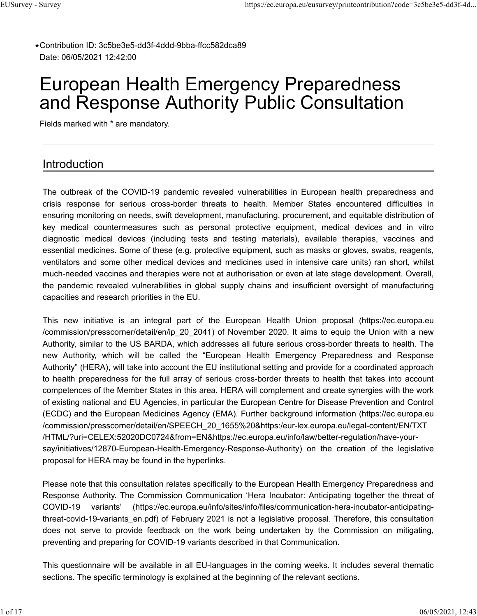Contribution ID: 3c5be3e5-dd3f-4ddd-9bba-ffcc582dca89 **\*** Date: 06/05/2021 12:42:00

# European Health Emergency Preparedness and Response Authority Public Consultation

Fields marked with \* are mandatory.

## Introduction

The outbreak of the COVID-19 pandemic revealed vulnerabilities in European health preparedness and crisis response for serious cross-border threats to health. Member States encountered difficulties in ensuring monitoring on needs, swift development, manufacturing, procurement, and equitable distribution of key medical countermeasures such as personal protective equipment, medical devices and in vitro diagnostic medical devices (including tests and testing materials), available therapies, vaccines and essential medicines. Some of these (e.g. protective equipment, such as masks or gloves, swabs, reagents, ventilators and some other medical devices and medicines used in intensive care units) ran short, whilst much-needed vaccines and therapies were not at authorisation or even at late stage development. Overall, the pandemic revealed vulnerabilities in global supply chains and insufficient oversight of manufacturing capacities and research priorities in the EU.

This new initiative is an integral part of the European Health Union proposal (https://ec.europa.eu /commission/presscorner/detail/en/ip\_20\_2041) of November 2020. It aims to equip the Union with a new Authority, similar to the US BARDA, which addresses all future serious cross-border threats to health. The new Authority, which will be called the "European Health Emergency Preparedness and Response Authority" (HERA), will take into account the EU institutional setting and provide for a coordinated approach to health preparedness for the full array of serious cross-border threats to health that takes into account competences of the Member States in this area. HERA will complement and create synergies with the work of existing national and EU Agencies, in particular the European Centre for Disease Prevention and Control (ECDC) and the European Medicines Agency (EMA). Further background information (https://ec.europa.eu /commission/presscorner/detail/en/SPEECH\_20\_1655%20&https:/eur-lex.europa.eu/legal-content/EN/TXT /HTML/?uri=CELEX:52020DC0724&from=EN&https://ec.europa.eu/info/law/better-regulation/have-yoursay/initiatives/12870-European-Health-Emergency-Response-Authority) on the creation of the legislative proposal for HERA may be found in the hyperlinks.

Please note that this consultation relates specifically to the European Health Emergency Preparedness and Response Authority. The Commission Communication 'Hera Incubator: Anticipating together the threat of COVID-19 variants' (https://ec.europa.eu/info/sites/info/files/communication-hera-incubator-anticipatingthreat-covid-19-variants en.pdf) of February 2021 is not a legislative proposal. Therefore, this consultation does not serve to provide feedback on the work being undertaken by the Commission on mitigating, preventing and preparing for COVID-19 variants described in that Communication.

This questionnaire will be available in all EU-languages in the coming weeks. It includes several thematic sections. The specific terminology is explained at the beginning of the relevant sections.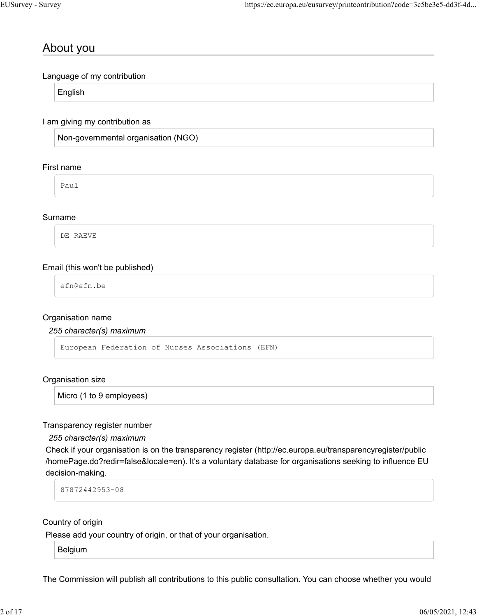## About you

Language of my contribution

English

I am giving my contribution as

Non-governmental organisation (NGO)

#### First name

Paul

### Surname

DE RAEVE

### Email (this won't be published)

efn@efn.be

#### Organisation name

*255 character(s) maximum*

European Federation of Nurses Associations (EFN)

#### Organisation size

Micro (1 to 9 employees)

Transparency register number

*255 character(s) maximum*

Check if your organisation is on the transparency register (http://ec.europa.eu/transparencyregister/public /homePage.do?redir=false&locale=en). It's a voluntary database for organisations seeking to influence EU decision-making.

87872442953-08

Country of origin

Please add your country of origin, or that of your organisation.

Belgium

The Commission will publish all contributions to this public consultation. You can choose whether you would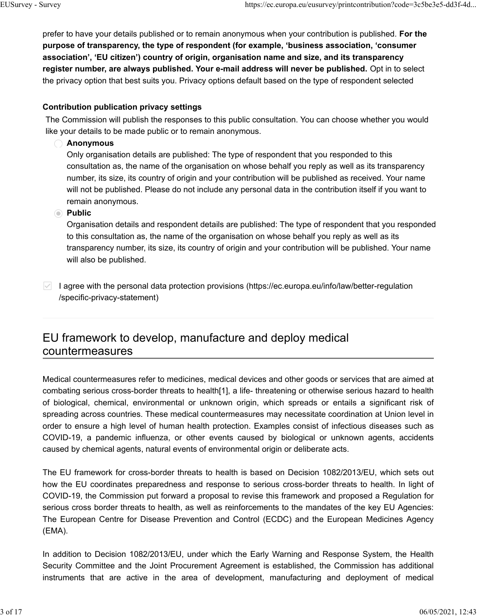prefer to have your details published or to remain anonymous when your contribution is published. **For the purpose of transparency, the type of respondent (for example, 'business association, 'consumer association', 'EU citizen') country of origin, organisation name and size, and its transparency register number, are always published. Your e-mail address will never be published.** Opt in to select the privacy option that best suits you. Privacy options default based on the type of respondent selected

## **Contribution publication privacy settings**

The Commission will publish the responses to this public consultation. You can choose whether you would like your details to be made public or to remain anonymous.

## **Anonymous**

Only organisation details are published: The type of respondent that you responded to this consultation as, the name of the organisation on whose behalf you reply as well as its transparency number, its size, its country of origin and your contribution will be published as received. Your name will not be published. Please do not include any personal data in the contribution itself if you want to remain anonymous.

## **Public**

Organisation details and respondent details are published: The type of respondent that you responded to this consultation as, the name of the organisation on whose behalf you reply as well as its transparency number, its size, its country of origin and your contribution will be published. Your name will also be published.

I agree with the personal data protection provisions (https://ec.europa.eu/info/law/better-regulation /specific-privacy-statement)

## EU framework to develop, manufacture and deploy medical countermeasures

Medical countermeasures refer to medicines, medical devices and other goods or services that are aimed at combating serious cross-border threats to health[1], a life- threatening or otherwise serious hazard to health of biological, chemical, environmental or unknown origin, which spreads or entails a significant risk of spreading across countries. These medical countermeasures may necessitate coordination at Union level in order to ensure a high level of human health protection. Examples consist of infectious diseases such as COVID-19, a pandemic influenza, or other events caused by biological or unknown agents, accidents caused by chemical agents, natural events of environmental origin or deliberate acts.

The EU framework for cross-border threats to health is based on Decision 1082/2013/EU, which sets out how the EU coordinates preparedness and response to serious cross-border threats to health. In light of COVID-19, the Commission put forward a proposal to revise this framework and proposed a Regulation for serious cross border threats to health, as well as reinforcements to the mandates of the key EU Agencies: The European Centre for Disease Prevention and Control (ECDC) and the European Medicines Agency (EMA).

In addition to Decision 1082/2013/EU, under which the Early Warning and Response System, the Health Security Committee and the Joint Procurement Agreement is established, the Commission has additional instruments that are active in the area of development, manufacturing and deployment of medical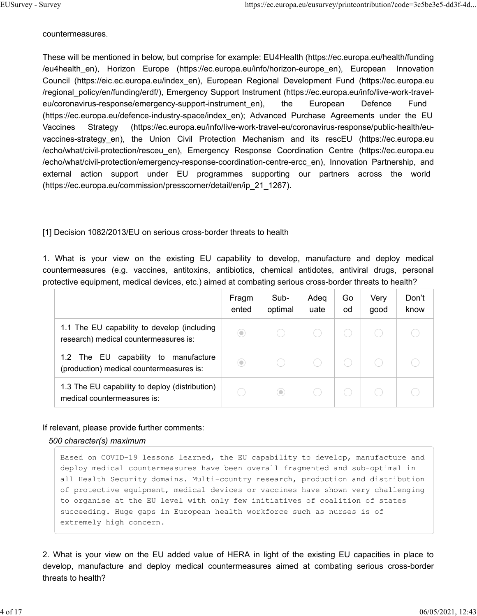countermeasures.

These will be mentioned in below, but comprise for example: EU4Health (https://ec.europa.eu/health/funding /eu4health en), Horizon Europe (https://ec.europa.eu/info/horizon-europe en), European Innovation Council (https://eic.ec.europa.eu/index\_en), European Regional Development Fund (https://ec.europa.eu /regional\_policy/en/funding/erdf/), Emergency Support Instrument (https://ec.europa.eu/info/live-work-traveleu/coronavirus-response/emergency-support-instrument en), the European Defence Fund (https://ec.europa.eu/defence-industry-space/index\_en); Advanced Purchase Agreements under the EU Vaccines Strategy (https://ec.europa.eu/info/live-work-travel-eu/coronavirus-response/public-health/euvaccines-strategy\_en), the Union Civil Protection Mechanism and its rescEU (https://ec.europa.eu /echo/what/civil-protection/resceu\_en), Emergency Response Coordination Centre (https://ec.europa.eu /echo/what/civil-protection/emergency-response-coordination-centre-ercc\_en), Innovation Partnership, and external action support under EU programmes supporting our partners across the world (https://ec.europa.eu/commission/presscorner/detail/en/ip\_21\_1267).

[1] Decision 1082/2013/EU on serious cross-border threats to health

1. What is your view on the existing EU capability to develop, manufacture and deploy medical countermeasures (e.g. vaccines, antitoxins, antibiotics, chemical antidotes, antiviral drugs, personal protective equipment, medical devices, etc.) aimed at combating serious cross-border threats to health?

|                                                                                           | Fragm<br>ented | Sub-<br>optimal | Adea<br>uate | Go<br>od | Very<br>good | Don't<br>know |
|-------------------------------------------------------------------------------------------|----------------|-----------------|--------------|----------|--------------|---------------|
| 1.1 The EU capability to develop (including<br>research) medical countermeasures is:      | $\circledcirc$ |                 |              |          |              |               |
| 1.2 The EU<br>capability<br>to<br>manufacture<br>(production) medical countermeasures is: | $\circledcirc$ |                 |              |          |              |               |
| 1.3 The EU capability to deploy (distribution)<br>medical countermeasures is:             |                | $\circ$         |              |          |              |               |

### If relevant, please provide further comments:

### *500 character(s) maximum*

Based on COVID-19 lessons learned, the EU capability to develop, manufacture and deploy medical countermeasures have been overall fragmented and sub-optimal in all Health Security domains. Multi-country research, production and distribution of protective equipment, medical devices or vaccines have shown very challenging to organise at the EU level with only few initiatives of coalition of states succeeding. Huge gaps in European health workforce such as nurses is of extremely high concern.

2. What is your view on the EU added value of HERA in light of the existing EU capacities in place to develop, manufacture and deploy medical countermeasures aimed at combating serious cross-border threats to health?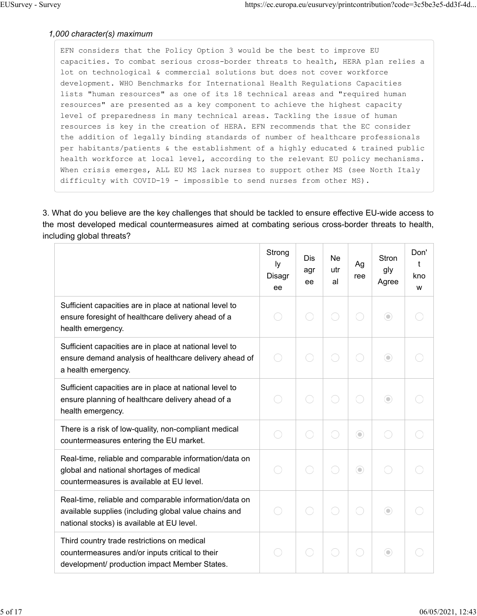### *1,000 character(s) maximum*

EFN considers that the Policy Option 3 would be the best to improve EU capacities. To combat serious cross-border threats to health, HERA plan relies a lot on technological & commercial solutions but does not cover workforce development. WHO Benchmarks for International Health Regulations Capacities lists "human resources" as one of its 18 technical areas and "required human resources" are presented as a key component to achieve the highest capacity level of preparedness in many technical areas. Tackling the issue of human resources is key in the creation of HERA. EFN recommends that the EC consider the addition of legally binding standards of number of healthcare professionals per habitants/patients & the establishment of a highly educated & trained public health workforce at local level, according to the relevant EU policy mechanisms. When crisis emerges, ALL EU MS lack nurses to support other MS (see North Italy difficulty with COVID-19 - impossible to send nurses from other MS).

3. What do you believe are the key challenges that should be tackled to ensure effective EU-wide access to the most developed medical countermeasures aimed at combating serious cross-border threats to health, including global threats?

|                                                                                                                                                               | Strong<br>Iy<br>Disagr<br>ee | <b>Dis</b><br>agr<br>ee | <b>Ne</b><br>utr<br>al | Ag<br>ree | <b>Stron</b><br>gly<br>Agree | Don'<br>t<br>kno<br>W |
|---------------------------------------------------------------------------------------------------------------------------------------------------------------|------------------------------|-------------------------|------------------------|-----------|------------------------------|-----------------------|
| Sufficient capacities are in place at national level to<br>ensure foresight of healthcare delivery ahead of a<br>health emergency.                            |                              |                         |                        |           | ⊙                            |                       |
| Sufficient capacities are in place at national level to<br>ensure demand analysis of healthcare delivery ahead of<br>a health emergency.                      |                              |                         |                        |           | $\odot$                      |                       |
| Sufficient capacities are in place at national level to<br>ensure planning of healthcare delivery ahead of a<br>health emergency.                             |                              |                         |                        |           | ⊙                            |                       |
| There is a risk of low-quality, non-compliant medical<br>countermeasures entering the EU market.                                                              |                              |                         |                        | $\odot$   |                              |                       |
| Real-time, reliable and comparable information/data on<br>global and national shortages of medical<br>countermeasures is available at EU level.               |                              |                         |                        | $\odot$   |                              |                       |
| Real-time, reliable and comparable information/data on<br>available supplies (including global value chains and<br>national stocks) is available at EU level. |                              |                         |                        | n a       | $\odot$                      |                       |
| Third country trade restrictions on medical<br>countermeasures and/or inputs critical to their<br>development/ production impact Member States.               |                              |                         |                        |           | $\odot$                      |                       |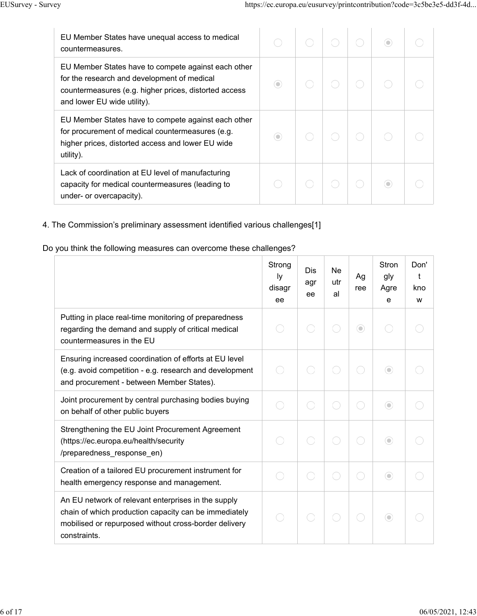| EU Member States have unequal access to medical<br>countermeasures.                                                                                                                        |         |  | ۰ |  |
|--------------------------------------------------------------------------------------------------------------------------------------------------------------------------------------------|---------|--|---|--|
| EU Member States have to compete against each other<br>for the research and development of medical<br>countermeasures (e.g. higher prices, distorted access<br>and lower EU wide utility). | 0       |  |   |  |
| EU Member States have to compete against each other<br>for procurement of medical countermeasures (e.g.<br>higher prices, distorted access and lower EU wide<br>utility).                  | $\circ$ |  |   |  |
| Lack of coordination at EU level of manufacturing<br>capacity for medical countermeasures (leading to<br>under- or overcapacity).                                                          |         |  |   |  |

## 4. The Commission's preliminary assessment identified various challenges[1]

## Do you think the following measures can overcome these challenges?

|                                                                                                                                                                                       | Strong<br>Ιy<br>disagr<br>ee | Dis<br>agr<br>ee | Ne<br>utr<br>al | Ag<br>ree | <b>Stron</b><br>gly<br>Agre<br>e | Don'<br>t<br>kno<br>W |
|---------------------------------------------------------------------------------------------------------------------------------------------------------------------------------------|------------------------------|------------------|-----------------|-----------|----------------------------------|-----------------------|
| Putting in place real-time monitoring of preparedness<br>regarding the demand and supply of critical medical<br>countermeasures in the EU                                             |                              |                  |                 | ⊙         |                                  |                       |
| Ensuring increased coordination of efforts at EU level<br>(e.g. avoid competition - e.g. research and development<br>and procurement - between Member States).                        |                              |                  |                 |           | ⊙                                |                       |
| Joint procurement by central purchasing bodies buying<br>on behalf of other public buyers                                                                                             |                              |                  |                 |           | $\odot$                          |                       |
| Strengthening the EU Joint Procurement Agreement<br>(https://ec.europa.eu/health/security<br>/preparedness_response_en)                                                               |                              |                  |                 |           | $\odot$                          |                       |
| Creation of a tailored EU procurement instrument for<br>health emergency response and management.                                                                                     |                              |                  |                 |           | $\odot$                          |                       |
| An EU network of relevant enterprises in the supply<br>chain of which production capacity can be immediately<br>mobilised or repurposed without cross-border delivery<br>constraints. |                              |                  |                 |           | $\odot$                          |                       |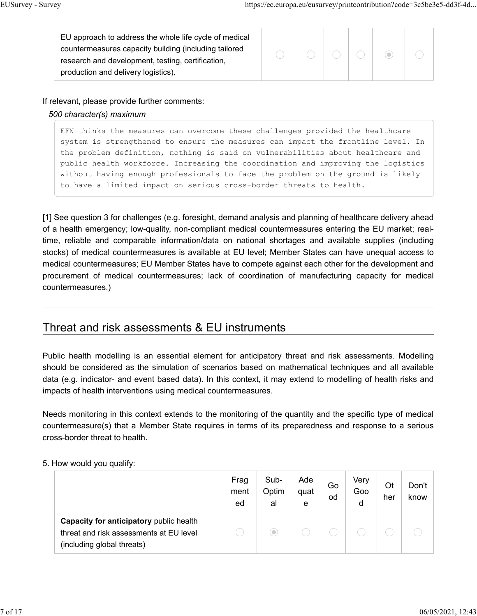| EU approach to address the whole life cycle of medical<br>countermeasures capacity building (including tailored<br>research and development, testing, certification,<br>production and delivery logistics). |  |  |  |  | $($ $\odot)$ |  |
|-------------------------------------------------------------------------------------------------------------------------------------------------------------------------------------------------------------|--|--|--|--|--------------|--|
|-------------------------------------------------------------------------------------------------------------------------------------------------------------------------------------------------------------|--|--|--|--|--------------|--|

## If relevant, please provide further comments:

## *500 character(s) maximum*

EFN thinks the measures can overcome these challenges provided the healthcare system is strengthened to ensure the measures can impact the frontline level. In the problem definition, nothing is said on vulnerabilities about healthcare and public health workforce. Increasing the coordination and improving the logistics without having enough professionals to face the problem on the ground is likely to have a limited impact on serious cross-border threats to health.

[1] See question 3 for challenges (e.g. foresight, demand analysis and planning of healthcare delivery ahead of a health emergency; low-quality, non-compliant medical countermeasures entering the EU market; realtime, reliable and comparable information/data on national shortages and available supplies (including stocks) of medical countermeasures is available at EU level; Member States can have unequal access to medical countermeasures; EU Member States have to compete against each other for the development and procurement of medical countermeasures; lack of coordination of manufacturing capacity for medical countermeasures.)

## Threat and risk assessments & EU instruments

Public health modelling is an essential element for anticipatory threat and risk assessments. Modelling should be considered as the simulation of scenarios based on mathematical techniques and all available data (e.g. indicator- and event based data). In this context, it may extend to modelling of health risks and impacts of health interventions using medical countermeasures.

Needs monitoring in this context extends to the monitoring of the quantity and the specific type of medical countermeasure(s) that a Member State requires in terms of its preparedness and response to a serious cross-border threat to health.

## 5. How would you qualify:

|                                                                                                                  | Frag<br>ment<br>ed | Sub-<br>Optim<br>al | Ade<br>quat<br>e | Go<br>od | Verv<br>Goo<br>d | Ot<br>her | Don't<br>know |
|------------------------------------------------------------------------------------------------------------------|--------------------|---------------------|------------------|----------|------------------|-----------|---------------|
| Capacity for anticipatory public health<br>threat and risk assessments at EU level<br>(including global threats) |                    | $\bullet$           |                  |          |                  |           |               |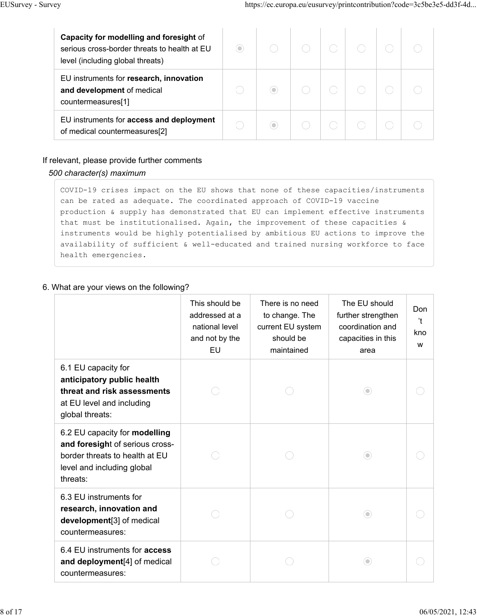| Capacity for modelling and foresight of<br>serious cross-border threats to health at EU<br>level (including global threats) | 0 |  |  |  |
|-----------------------------------------------------------------------------------------------------------------------------|---|--|--|--|
| EU instruments for research, innovation<br>and development of medical<br>countermeasures[1]                                 |   |  |  |  |
| EU instruments for access and deployment<br>of medical countermeasures[2]                                                   |   |  |  |  |

## If relevant, please provide further comments

## *500 character(s) maximum*

COVID-19 crises impact on the EU shows that none of these capacities/instruments can be rated as adequate. The coordinated approach of COVID-19 vaccine production & supply has demonstrated that EU can implement effective instruments that must be institutionalised. Again, the improvement of these capacities & instruments would be highly potentialised by ambitious EU actions to improve the availability of sufficient & well-educated and trained nursing workforce to face health emergencies.

## 6. What are your views on the following?

|                                                                                                                                              | This should be<br>addressed at a<br>national level<br>and not by the<br>EU | There is no need<br>to change. The<br>current EU system<br>should be<br>maintained | The EU should<br>further strengthen<br>coordination and<br>capacities in this<br>area | Don<br>'n<br>kno<br>W |
|----------------------------------------------------------------------------------------------------------------------------------------------|----------------------------------------------------------------------------|------------------------------------------------------------------------------------|---------------------------------------------------------------------------------------|-----------------------|
| 6.1 EU capacity for<br>anticipatory public health<br>threat and risk assessments<br>at EU level and including<br>global threats:             |                                                                            |                                                                                    | $\circlearrowleft$                                                                    |                       |
| 6.2 EU capacity for modelling<br>and foresight of serious cross-<br>border threats to health at EU<br>level and including global<br>threats: |                                                                            |                                                                                    | $\odot$                                                                               |                       |
| 6.3 EU instruments for<br>research, innovation and<br>development[3] of medical<br>countermeasures:                                          |                                                                            |                                                                                    | $\circ$                                                                               |                       |
| 6.4 EU instruments for <b>access</b><br>and deployment[4] of medical<br>countermeasures:                                                     |                                                                            |                                                                                    | 0                                                                                     |                       |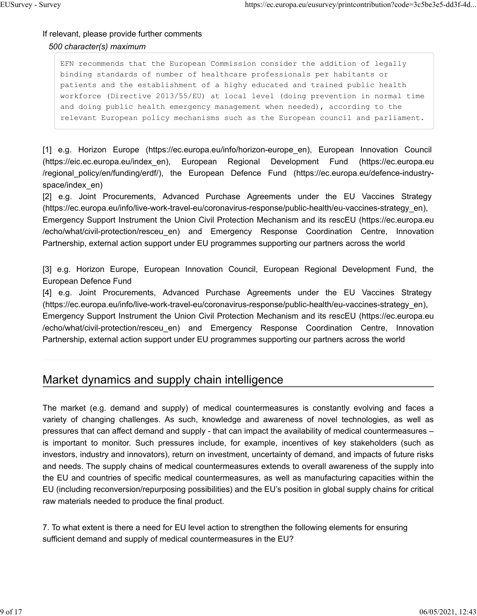## If relevant, please provide further comments *500 character(s) maximum*

EFN recommends that the European Commission consider the addition of legally binding standards of number of healthcare professionals per habitants or patients and the establishment of a highy educated and trained public health workforce (Directive 2013/55/EU) at local level (doing prevention in normal time and doing public health emergency management when needed), according to the relevant European policy mechanisms such as the European council and parliament.

[1] e.g. Horizon Europe (https://ec.europa.eu/info/horizon-europe\_en), European Innovation Council (https://eic.ec.europa.eu/index\_en), European Regional Development Fund (https://ec.europa.eu /regional\_policy/en/funding/erdf/), the European Defence Fund (https://ec.europa.eu/defence-industryspace/index\_en)

[2] e.g. Joint Procurements, Advanced Purchase Agreements under the EU Vaccines Strategy (https://ec.europa.eu/info/live-work-travel-eu/coronavirus-response/public-health/eu-vaccines-strategy\_en), Emergency Support Instrument the Union Civil Protection Mechanism and its rescEU (https://ec.europa.eu /echo/what/civil-protection/resceu\_en) and Emergency Response Coordination Centre, Innovation Partnership, external action support under EU programmes supporting our partners across the world

[3] e.g. Horizon Europe, European Innovation Council, European Regional Development Fund, the European Defence Fund

[4] e.g. Joint Procurements, Advanced Purchase Agreements under the EU Vaccines Strategy (https://ec.europa.eu/info/live-work-travel-eu/coronavirus-response/public-health/eu-vaccines-strategy\_en), Emergency Support Instrument the Union Civil Protection Mechanism and its rescEU (https://ec.europa.eu /echo/what/civil-protection/resceu\_en) and Emergency Response Coordination Centre, Innovation Partnership, external action support under EU programmes supporting our partners across the world

## Market dynamics and supply chain intelligence

The market (e.g. demand and supply) of medical countermeasures is constantly evolving and faces a variety of changing challenges. As such, knowledge and awareness of novel technologies, as well as pressures that can affect demand and supply - that can impact the availability of medical countermeasures – is important to monitor. Such pressures include, for example, incentives of key stakeholders (such as investors, industry and innovators), return on investment, uncertainty of demand, and impacts of future risks and needs. The supply chains of medical countermeasures extends to overall awareness of the supply into the EU and countries of specific medical countermeasures, as well as manufacturing capacities within the EU (including reconversion/repurposing possibilities) and the EU's position in global supply chains for critical raw materials needed to produce the final product.

7. To what extent is there a need for EU level action to strengthen the following elements for ensuring sufficient demand and supply of medical countermeasures in the EU?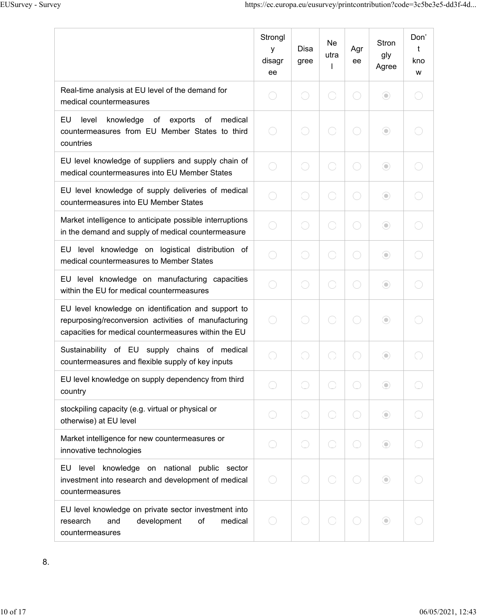|                                                                                                                                                                     | Strongl<br>y<br>disagr<br>ee | Disa<br>gree             | Ne<br>utra | Agr<br>ee                | <b>Stron</b><br>gly<br>Agree | Don'<br>t<br>kno<br>W |
|---------------------------------------------------------------------------------------------------------------------------------------------------------------------|------------------------------|--------------------------|------------|--------------------------|------------------------------|-----------------------|
| Real-time analysis at EU level of the demand for<br>medical countermeasures                                                                                         |                              |                          |            | $\overline{\phantom{a}}$ | $\odot$                      |                       |
| EU<br>level<br>knowledge of<br>exports<br>of<br>medical<br>countermeasures from EU Member States to third<br>countries                                              |                              |                          |            |                          | $\odot$                      |                       |
| EU level knowledge of suppliers and supply chain of<br>medical countermeasures into EU Member States                                                                |                              |                          |            |                          | $\odot$                      |                       |
| EU level knowledge of supply deliveries of medical<br>countermeasures into EU Member States                                                                         |                              | $\mathcal{L}$            |            | $\hspace{0.1in}$         | $\odot$                      |                       |
| Market intelligence to anticipate possible interruptions<br>in the demand and supply of medical countermeasure                                                      |                              | C)                       |            | 0                        | $\odot$                      |                       |
| EU level knowledge on logistical distribution of<br>medical countermeasures to Member States                                                                        |                              |                          |            |                          | $\odot$                      |                       |
| EU level knowledge on manufacturing capacities<br>within the EU for medical countermeasures                                                                         |                              | $\hspace{1.5cm} \square$ |            | 0                        | $\odot$                      |                       |
| EU level knowledge on identification and support to<br>repurposing/reconversion activities of manufacturing<br>capacities for medical countermeasures within the EU |                              |                          |            |                          | $\odot$                      |                       |
| Sustainability of EU supply chains of medical<br>countermeasures and flexible supply of key inputs                                                                  |                              |                          |            |                          | $\odot$                      |                       |
| EU level knowledge on supply dependency from third<br>country                                                                                                       |                              |                          |            |                          | $\odot$                      |                       |
| stockpiling capacity (e.g. virtual or physical or<br>otherwise) at EU level                                                                                         |                              |                          |            |                          | $\odot$                      |                       |
| Market intelligence for new countermeasures or<br>innovative technologies                                                                                           |                              |                          |            |                          | $\odot$                      |                       |
| level knowledge on national public sector<br>EU<br>investment into research and development of medical<br>countermeasures                                           |                              |                          |            |                          | $\odot$                      |                       |
| EU level knowledge on private sector investment into<br>research<br>and<br>development<br>of<br>medical<br>countermeasures                                          |                              |                          |            |                          | $\odot$                      |                       |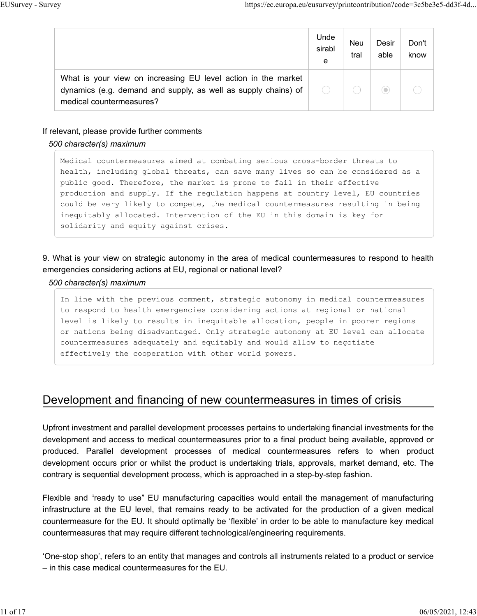|                                                                                                                                                             | Unde<br>sirabl<br>е | Neu<br>tral | Desir<br>able | Don't<br>know |
|-------------------------------------------------------------------------------------------------------------------------------------------------------------|---------------------|-------------|---------------|---------------|
| What is your view on increasing EU level action in the market<br>dynamics (e.g. demand and supply, as well as supply chains) of<br>medical countermeasures? |                     |             | $\bigcirc$    |               |

### If relevant, please provide further comments

#### *500 character(s) maximum*

Medical countermeasures aimed at combating serious cross-border threats to health, including global threats, can save many lives so can be considered as a public good. Therefore, the market is prone to fail in their effective production and supply. If the regulation happens at country level, EU countries could be very likely to compete, the medical countermeasures resulting in being inequitably allocated. Intervention of the EU in this domain is key for solidarity and equity against crises.

## 9. What is your view on strategic autonomy in the area of medical countermeasures to respond to health emergencies considering actions at EU, regional or national level?

#### *500 character(s) maximum*

In line with the previous comment, strategic autonomy in medical countermeasures to respond to health emergencies considering actions at regional or national level is likely to results in inequitable allocation, people in poorer regions or nations being disadvantaged. Only strategic autonomy at EU level can allocate countermeasures adequately and equitably and would allow to negotiate effectively the cooperation with other world powers.

## Development and financing of new countermeasures in times of crisis

Upfront investment and parallel development processes pertains to undertaking financial investments for the development and access to medical countermeasures prior to a final product being available, approved or produced. Parallel development processes of medical countermeasures refers to when product development occurs prior or whilst the product is undertaking trials, approvals, market demand, etc. The contrary is sequential development process, which is approached in a step-by-step fashion.

Flexible and "ready to use" EU manufacturing capacities would entail the management of manufacturing infrastructure at the EU level, that remains ready to be activated for the production of a given medical countermeasure for the EU. It should optimally be 'flexible' in order to be able to manufacture key medical countermeasures that may require different technological/engineering requirements.

'One-stop shop', refers to an entity that manages and controls all instruments related to a product or service – in this case medical countermeasures for the EU.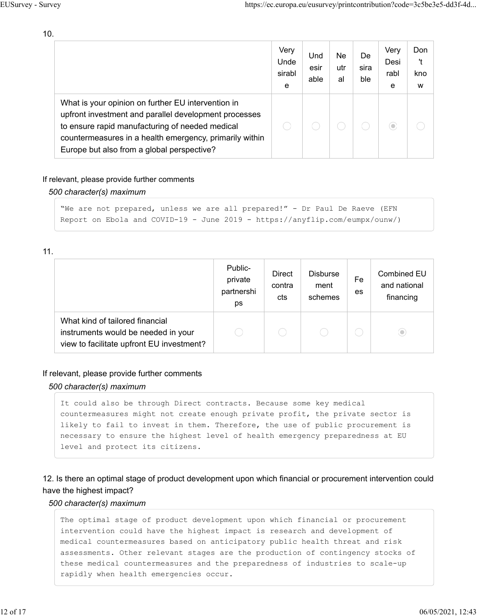$10.$ 

|                                                                                                                                                                                                                                                                         | Very<br>Unde<br>sirabl<br>e | Und<br>esir<br>able | Ne<br>utr<br>al | De<br>sira<br>ble | Very<br>Desi<br>rabl<br>e | Don<br>'t<br>kno<br>w |
|-------------------------------------------------------------------------------------------------------------------------------------------------------------------------------------------------------------------------------------------------------------------------|-----------------------------|---------------------|-----------------|-------------------|---------------------------|-----------------------|
| What is your opinion on further EU intervention in<br>upfront investment and parallel development processes<br>to ensure rapid manufacturing of needed medical<br>countermeasures in a health emergency, primarily within<br>Europe but also from a global perspective? |                             |                     |                 |                   | ۰                         |                       |

### If relevant, please provide further comments

### 500 character(s) maximum

```
"We are not prepared, unless we are all prepared!" - Dr Paul De Raeve (EFN
Report on Ebola and COVID-19 - June 2019 - https://anyflip.com/eumpx/ounw/)
```
 $11.$ 

|                                                                                                                     | Public-<br>private<br>partnershi<br>ps | <b>Direct</b><br>contra<br>cts | <b>Disburse</b><br>ment<br>schemes | Fe<br>es | <b>Combined EU</b><br>and national<br>financing |
|---------------------------------------------------------------------------------------------------------------------|----------------------------------------|--------------------------------|------------------------------------|----------|-------------------------------------------------|
| What kind of tailored financial<br>instruments would be needed in your<br>view to facilitate upfront EU investment? |                                        |                                |                                    |          | $\circ$                                         |

#### If relevant, please provide further comments

#### 500 character(s) maximum

```
It could also be through Direct contracts. Because some key medical
countermeasures might not create enough private profit, the private sector is
likely to fail to invest in them. Therefore, the use of public procurement is
necessary to ensure the highest level of health emergency preparedness at EU
level and protect its citizens.
```
## 12. Is there an optimal stage of product development upon which financial or procurement intervention could have the highest impact?

#### 500 character(s) maximum

The optimal stage of product development upon which financial or procurement intervention could have the highest impact is research and development of medical countermeasures based on anticipatory public health threat and risk assessments. Other relevant stages are the production of contingency stocks of these medical countermeasures and the preparedness of industries to scale-up rapidly when health emergencies occur.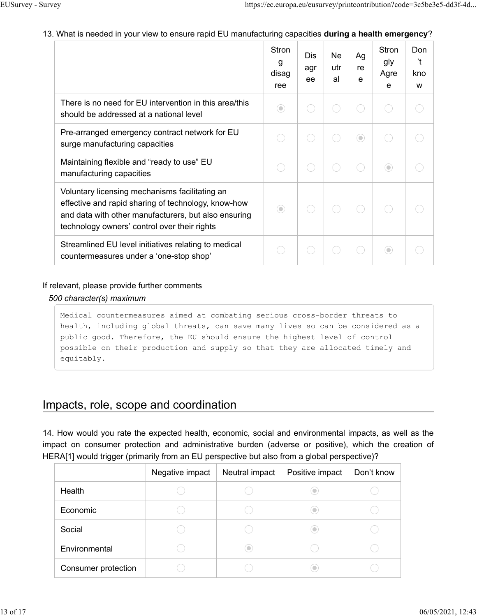## 13. What is needed in your view to ensure rapid EU manufacturing capacities **during a health emergency**?

|                                                                                                                                                                                                               | <b>Stron</b><br>g<br>disag<br>ree | Dis<br>agr<br>ee | Ne<br>utr<br>al | Ag<br>re<br>e | <b>Stron</b><br>gly<br>Agre<br>e | Don<br>'t<br>kno<br>W |
|---------------------------------------------------------------------------------------------------------------------------------------------------------------------------------------------------------------|-----------------------------------|------------------|-----------------|---------------|----------------------------------|-----------------------|
| There is no need for EU intervention in this area/this<br>should be addressed at a national level                                                                                                             | 0                                 |                  |                 | С.            |                                  |                       |
| Pre-arranged emergency contract network for EU<br>surge manufacturing capacities                                                                                                                              |                                   |                  |                 | $\odot$       |                                  |                       |
| Maintaining flexible and "ready to use" EU<br>manufacturing capacities                                                                                                                                        |                                   |                  |                 |               | $\circ$                          |                       |
| Voluntary licensing mechanisms facilitating an<br>effective and rapid sharing of technology, know-how<br>and data with other manufacturers, but also ensuring<br>technology owners' control over their rights | $\circ$                           |                  |                 |               |                                  |                       |
| Streamlined EU level initiatives relating to medical<br>countermeasures under a 'one-stop shop'                                                                                                               |                                   |                  |                 |               | $\odot$                          |                       |

## If relevant, please provide further comments

## *500 character(s) maximum*

Medical countermeasures aimed at combating serious cross-border threats to health, including global threats, can save many lives so can be considered as a public good. Therefore, the EU should ensure the highest level of control possible on their production and supply so that they are allocated timely and equitably.

## Impacts, role, scope and coordination

14. How would you rate the expected health, economic, social and environmental impacts, as well as the impact on consumer protection and administrative burden (adverse or positive), which the creation of HERA[1] would trigger (primarily from an EU perspective but also from a global perspective)?

|                     | Negative impact | Neutral impact | Positive impact | Don't know |
|---------------------|-----------------|----------------|-----------------|------------|
| Health              |                 |                |                 |            |
| Economic            |                 |                | ۰               |            |
| Social              |                 |                | ۰               |            |
| Environmental       |                 |                |                 |            |
| Consumer protection |                 |                |                 |            |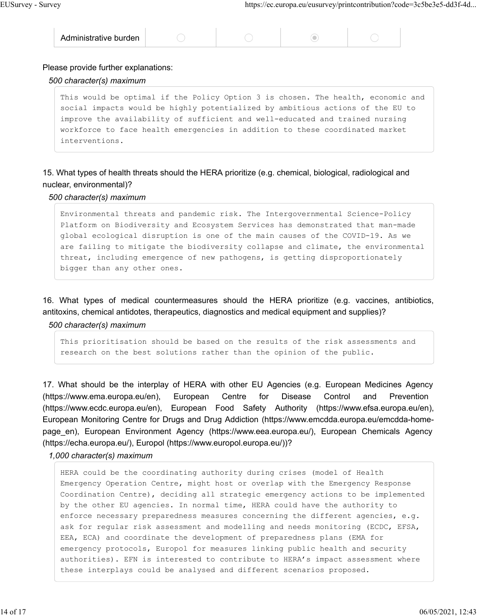### Please provide further explanations:

### *500 character(s) maximum*

This would be optimal if the Policy Option 3 is chosen. The health, economic and social impacts would be highly potentialized by ambitious actions of the EU to improve the availability of sufficient and well-educated and trained nursing workforce to face health emergencies in addition to these coordinated market interventions.

15. What types of health threats should the HERA prioritize (e.g. chemical, biological, radiological and nuclear, environmental)?

#### *500 character(s) maximum*

Environmental threats and pandemic risk. The Intergovernmental Science-Policy Platform on Biodiversity and Ecosystem Services has demonstrated that man-made global ecological disruption is one of the main causes of the COVID-19. As we are failing to mitigate the biodiversity collapse and climate, the environmental threat, including emergence of new pathogens, is getting disproportionately bigger than any other ones.

16. What types of medical countermeasures should the HERA prioritize (e.g. vaccines, antibiotics, antitoxins, chemical antidotes, therapeutics, diagnostics and medical equipment and supplies)?

#### *500 character(s) maximum*

This prioritisation should be based on the results of the risk assessments and research on the best solutions rather than the opinion of the public.

17. What should be the interplay of HERA with other EU Agencies (e.g. European Medicines Agency (https://www.ema.europa.eu/en), European Centre for Disease Control and Prevention (https://www.ecdc.europa.eu/en), European Food Safety Authority (https://www.efsa.europa.eu/en), European Monitoring Centre for Drugs and Drug Addiction (https://www.emcdda.europa.eu/emcdda-homepage en), European Environment Agency (https://www.eea.europa.eu/), European Chemicals Agency (https://echa.europa.eu/), Europol (https://www.europol.europa.eu/))?

*1,000 character(s) maximum*

HERA could be the coordinating authority during crises (model of Health Emergency Operation Centre, might host or overlap with the Emergency Response Coordination Centre), deciding all strategic emergency actions to be implemented by the other EU agencies. In normal time, HERA could have the authority to enforce necessary preparedness measures concerning the different agencies, e.g. ask for regular risk assessment and modelling and needs monitoring (ECDC, EFSA, EEA, ECA) and coordinate the development of preparedness plans (EMA for emergency protocols, Europol for measures linking public health and security authorities). EFN is interested to contribute to HERA's impact assessment where these interplays could be analysed and different scenarios proposed.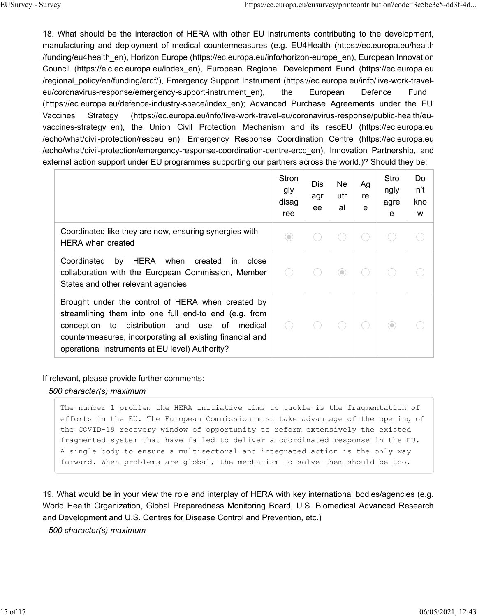18. What should be the interaction of HERA with other EU instruments contributing to the development, manufacturing and deployment of medical countermeasures (e.g. EU4Health (https://ec.europa.eu/health funding/eu4health en), Horizon Europe (https://ec.europa.eu/info/horizon-europe en), European Innovation Council (https://eic.ec.europa.eu/index en), European Regional Development Fund (https://ec.europa.eu /regional policy/en/funding/erdf/), Emergency Support Instrument (https://ec.europa.eu/info/live-work-traveleu/coronavirus-response/emergency-support-instrument en), the European Defence Fund (https://ec.europa.eu/defence-industry-space/index en); Advanced Purchase Agreements under the EU (https://ec.europa.eu/info/live-work-travel-eu/coronavirus-response/public-health/eu-Vaccines Strategy vaccines-strategy en), the Union Civil Protection Mechanism and its rescEU (https://ec.europa.eu echo/what/civil-protection/resceu en), Emergency Response Coordination Centre (https://ec.europa.eu/ /echo/what/civil-protection/emergency-response-coordination-centre-ercc en), Innovation Partnership, and external action support under EU programmes supporting our partners across the world.)? Should they be:

|                                                                                                                                                                                                                                                                                      | Stron<br>gly<br>disag<br>ree | Dis.<br>agr<br>ee | Ne<br>utr<br>al | Ag<br>re<br>e | Stro<br>ngly<br>agre<br>e | Do<br>n't<br>kno<br>W |
|--------------------------------------------------------------------------------------------------------------------------------------------------------------------------------------------------------------------------------------------------------------------------------------|------------------------------|-------------------|-----------------|---------------|---------------------------|-----------------------|
| Coordinated like they are now, ensuring synergies with<br><b>HERA</b> when created                                                                                                                                                                                                   | $(\textcolor{red}{\bullet})$ |                   |                 |               |                           |                       |
| HERA when<br>Coordinated<br>by<br>created<br>close<br>in.<br>collaboration with the European Commission, Member<br>States and other relevant agencies                                                                                                                                |                              |                   | 0               |               |                           |                       |
| Brought under the control of HERA when created by<br>streamlining them into one full end-to end (e.g. from<br>to distribution and use<br>conception<br>of<br>medical<br>countermeasures, incorporating all existing financial and<br>operational instruments at EU level) Authority? |                              |                   |                 |               | 0                         |                       |

If relevant, please provide further comments:

#### 500 character(s) maximum

The number 1 problem the HERA initiative aims to tackle is the fragmentation of efforts in the EU. The European Commission must take advantage of the opening of the COVID-19 recovery window of opportunity to reform extensively the existed fragmented system that have failed to deliver a coordinated response in the EU. A single body to ensure a multisectoral and integrated action is the only way forward. When problems are global, the mechanism to solve them should be too.

19. What would be in your view the role and interplay of HERA with key international bodies/agencies (e.g. World Health Organization, Global Preparedness Monitoring Board, U.S. Biomedical Advanced Research and Development and U.S. Centres for Disease Control and Prevention, etc.)

500 character(s) maximum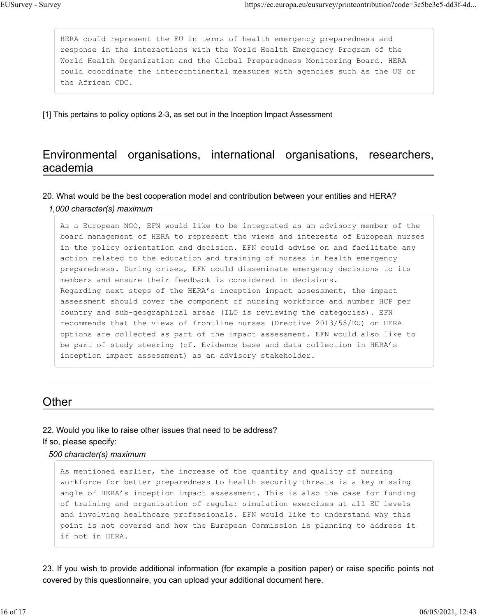HERA could represent the EU in terms of health emergency preparedness and response in the interactions with the World Health Emergency Program of the World Health Organization and the Global Preparedness Monitoring Board. HERA could coordinate the intercontinental measures with agencies such as the US or the African CDC.

[1] This pertains to policy options 2-3, as set out in the Inception Impact Assessment

## Environmental organisations, international organisations, researchers, academia

### 20. What would be the best cooperation model and contribution between your entities and HERA?

*1,000 character(s) maximum*

As a European NGO, EFN would like to be integrated as an advisory member of the board management of HERA to represent the views and interests of European nurses in the policy orientation and decision. EFN could advise on and facilitate any action related to the education and training of nurses in health emergency preparedness. During crises, EFN could disseminate emergency decisions to its members and ensure their feedback is considered in decisions. Regarding next steps of the HERA's inception impact assessment, the impact assessment should cover the component of nursing workforce and number HCP per country and sub-geographical areas (ILO is reviewing the categories). EFN recommends that the views of frontline nurses (Drective 2013/55/EU) on HERA options are collected as part of the impact assessment. EFN would also like to be part of study steering (cf. Evidence base and data collection in HERA's inception impact assessment) as an advisory stakeholder.

## **Other**

## 22. Would you like to raise other issues that need to be address?

If so, please specify:

#### *500 character(s) maximum*

As mentioned earlier, the increase of the quantity and quality of nursing workforce for better preparedness to health security threats is a key missing angle of HERA's inception impact assessment. This is also the case for funding of training and organisation of regular simulation exercises at all EU levels and involving healthcare professionals. EFN would like to understand why this point is not covered and how the European Commission is planning to address it if not in HERA.

23. If you wish to provide additional information (for example a position paper) or raise specific points not covered by this questionnaire, you can upload your additional document here.